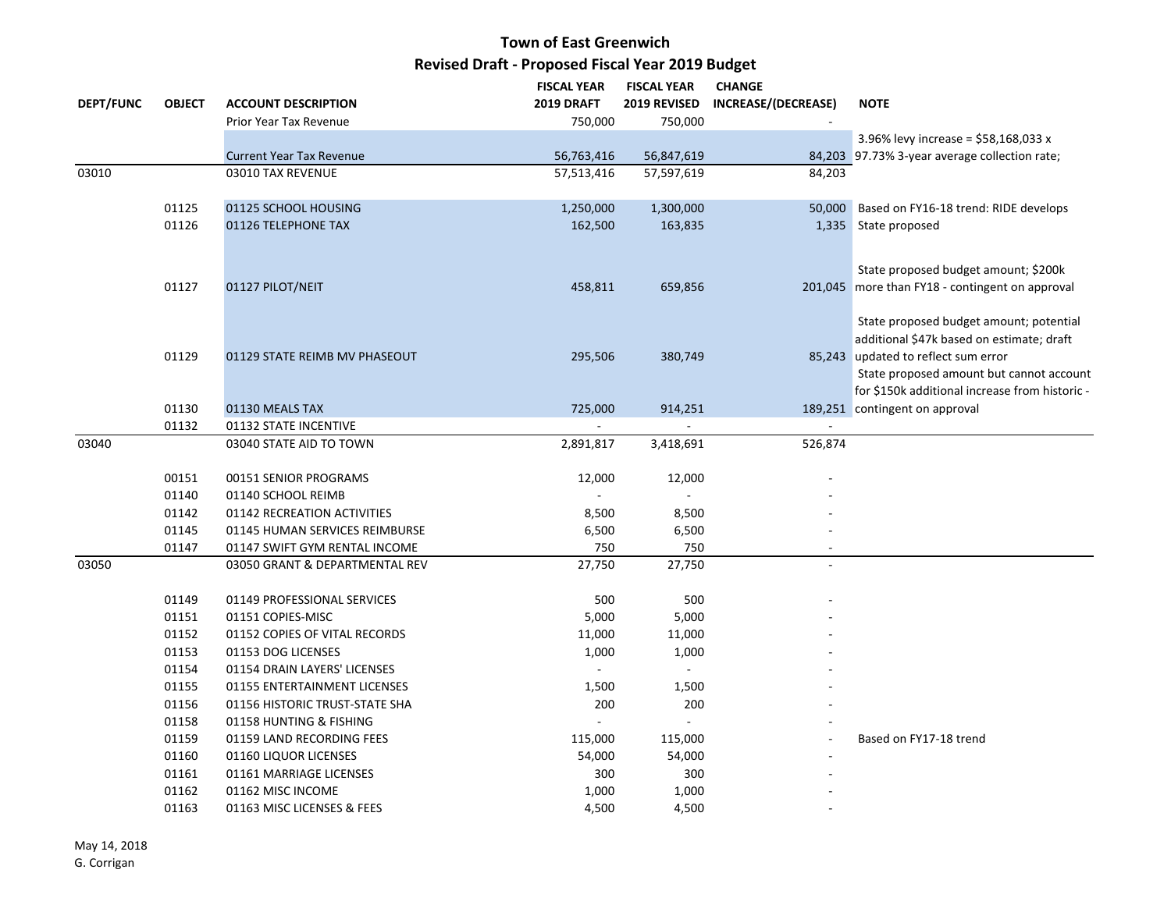|                  |                |                                                  | <b>FISCAL YEAR</b> | <b>FISCAL YEAR</b> | <b>CHANGE</b>       |                                                 |
|------------------|----------------|--------------------------------------------------|--------------------|--------------------|---------------------|-------------------------------------------------|
| <b>DEPT/FUNC</b> | <b>OBJECT</b>  | <b>ACCOUNT DESCRIPTION</b>                       | <b>2019 DRAFT</b>  | 2019 REVISED       | INCREASE/(DECREASE) | <b>NOTE</b>                                     |
|                  |                | Prior Year Tax Revenue                           | 750,000            | 750,000            |                     |                                                 |
|                  |                |                                                  |                    |                    |                     | 3.96% levy increase = \$58,168,033 x            |
|                  |                | <b>Current Year Tax Revenue</b>                  | 56,763,416         | 56,847,619         |                     | 84,203 97.73% 3-year average collection rate;   |
| 03010            |                | 03010 TAX REVENUE                                | 57,513,416         | 57,597,619         | 84,203              |                                                 |
|                  |                |                                                  |                    |                    |                     |                                                 |
|                  | 01125          | 01125 SCHOOL HOUSING                             | 1,250,000          | 1,300,000          | 50,000              | Based on FY16-18 trend: RIDE develops           |
|                  | 01126          | 01126 TELEPHONE TAX                              | 162,500            | 163,835            |                     | 1,335 State proposed                            |
|                  |                |                                                  |                    |                    |                     |                                                 |
|                  |                |                                                  |                    |                    |                     | State proposed budget amount; \$200k            |
|                  | 01127          | 01127 PILOT/NEIT                                 | 458,811            | 659,856            |                     | 201,045 more than FY18 - contingent on approval |
|                  |                |                                                  |                    |                    |                     |                                                 |
|                  |                |                                                  |                    |                    |                     | State proposed budget amount; potential         |
|                  |                |                                                  |                    |                    |                     | additional \$47k based on estimate; draft       |
|                  | 01129          | 01129 STATE REIMB MV PHASEOUT                    | 295,506            | 380,749            |                     | 85,243 updated to reflect sum error             |
|                  |                |                                                  |                    |                    |                     | State proposed amount but cannot account        |
|                  |                |                                                  |                    |                    |                     | for \$150k additional increase from historic -  |
|                  | 01130          | 01130 MEALS TAX                                  | 725,000            | 914,251            |                     | 189,251 contingent on approval                  |
|                  | 01132          | 01132 STATE INCENTIVE                            |                    |                    |                     |                                                 |
| 03040            |                | 03040 STATE AID TO TOWN                          | 2,891,817          | 3,418,691          | 526,874             |                                                 |
|                  |                |                                                  |                    |                    |                     |                                                 |
|                  | 00151          | 00151 SENIOR PROGRAMS                            | 12,000             | 12,000             |                     |                                                 |
|                  | 01140          | 01140 SCHOOL REIMB                               |                    | $\mathbf{r}$       |                     |                                                 |
|                  | 01142          | 01142 RECREATION ACTIVITIES                      | 8,500              | 8,500              |                     |                                                 |
|                  | 01145          | 01145 HUMAN SERVICES REIMBURSE                   | 6,500              | 6,500              |                     |                                                 |
|                  | 01147          | 01147 SWIFT GYM RENTAL INCOME                    | 750                | 750                | $\sim$              |                                                 |
| 03050            |                | 03050 GRANT & DEPARTMENTAL REV                   | 27,750             | 27,750             |                     |                                                 |
|                  |                |                                                  |                    |                    |                     |                                                 |
|                  | 01149<br>01151 | 01149 PROFESSIONAL SERVICES<br>01151 COPIES-MISC | 500                | 500                |                     |                                                 |
|                  | 01152          | 01152 COPIES OF VITAL RECORDS                    | 5,000<br>11,000    | 5,000              |                     |                                                 |
|                  | 01153          | 01153 DOG LICENSES                               | 1,000              | 11,000<br>1,000    |                     |                                                 |
|                  | 01154          | 01154 DRAIN LAYERS' LICENSES                     |                    | $\blacksquare$     |                     |                                                 |
|                  | 01155          | 01155 ENTERTAINMENT LICENSES                     | 1,500              | 1,500              |                     |                                                 |
|                  | 01156          | 01156 HISTORIC TRUST-STATE SHA                   | 200                | 200                |                     |                                                 |
|                  | 01158          | 01158 HUNTING & FISHING                          |                    |                    |                     |                                                 |
|                  | 01159          | 01159 LAND RECORDING FEES                        | 115,000            | 115,000            |                     | Based on FY17-18 trend                          |
|                  | 01160          | 01160 LIQUOR LICENSES                            | 54,000             | 54,000             |                     |                                                 |
|                  | 01161          | 01161 MARRIAGE LICENSES                          | 300                | 300                |                     |                                                 |
|                  | 01162          | 01162 MISC INCOME                                | 1,000              | 1,000              |                     |                                                 |
|                  | 01163          | 01163 MISC LICENSES & FEES                       | 4,500              | 4,500              |                     |                                                 |
|                  |                |                                                  |                    |                    |                     |                                                 |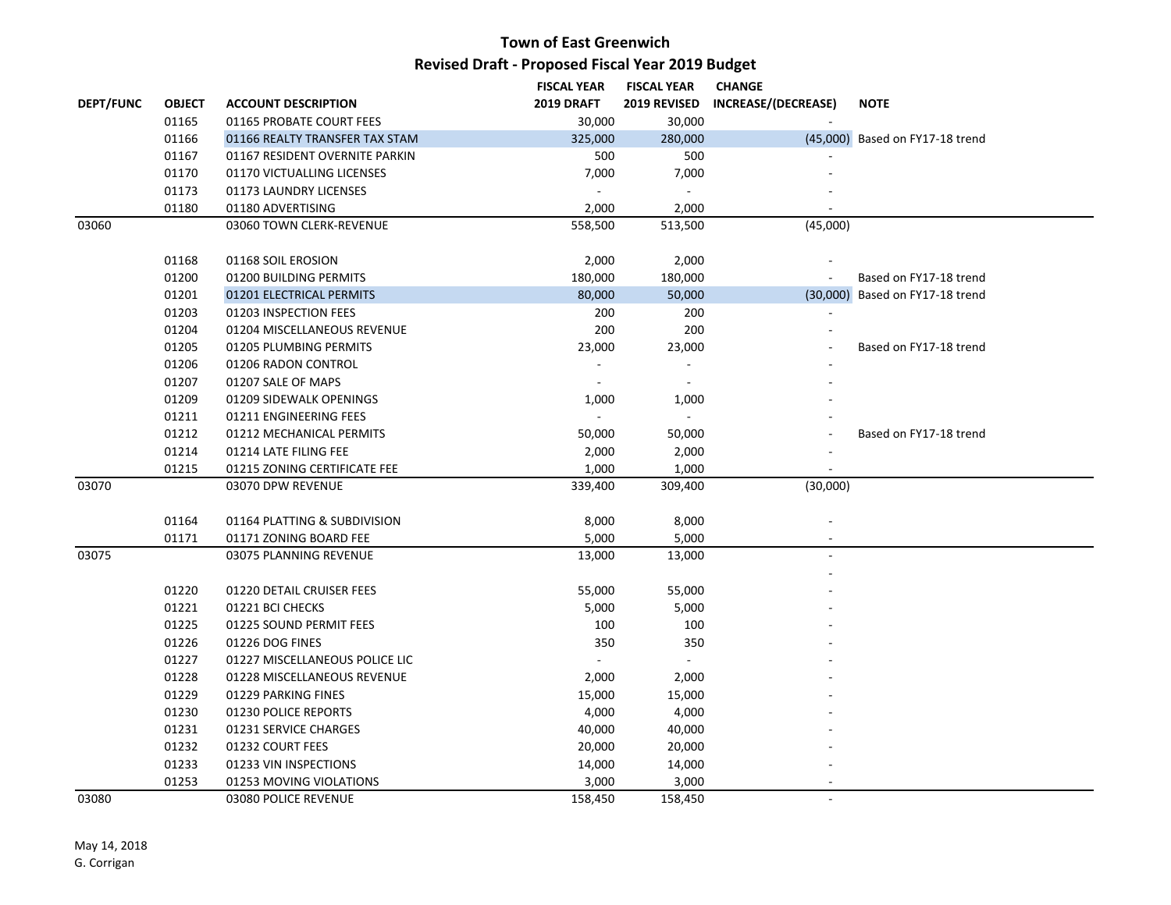|                  |               |                                | <b>FISCAL YEAR</b> | <b>FISCAL YEAR</b>          | <b>CHANGE</b>       |                                 |
|------------------|---------------|--------------------------------|--------------------|-----------------------------|---------------------|---------------------------------|
| <b>DEPT/FUNC</b> | <b>OBJECT</b> | <b>ACCOUNT DESCRIPTION</b>     | <b>2019 DRAFT</b>  | 2019 REVISED                | INCREASE/(DECREASE) | <b>NOTE</b>                     |
|                  | 01165         | 01165 PROBATE COURT FEES       | 30,000             | 30,000                      |                     |                                 |
|                  | 01166         | 01166 REALTY TRANSFER TAX STAM | 325,000            | 280,000                     |                     | (45,000) Based on FY17-18 trend |
|                  | 01167         | 01167 RESIDENT OVERNITE PARKIN | 500                | 500                         |                     |                                 |
|                  | 01170         | 01170 VICTUALLING LICENSES     | 7,000              | 7,000                       |                     |                                 |
|                  | 01173         | 01173 LAUNDRY LICENSES         |                    |                             |                     |                                 |
|                  | 01180         | 01180 ADVERTISING              | 2,000              | 2,000                       |                     |                                 |
| 03060            |               | 03060 TOWN CLERK-REVENUE       | 558,500            | 513,500                     | (45,000)            |                                 |
|                  | 01168         | 01168 SOIL EROSION             | 2,000              | 2,000                       |                     |                                 |
|                  | 01200         | 01200 BUILDING PERMITS         | 180,000            | 180,000                     |                     | Based on FY17-18 trend          |
|                  | 01201         | 01201 ELECTRICAL PERMITS       | 80,000             | 50,000                      |                     | (30,000) Based on FY17-18 trend |
|                  | 01203         | 01203 INSPECTION FEES          | 200                | 200                         |                     |                                 |
|                  | 01204         | 01204 MISCELLANEOUS REVENUE    | 200                | 200                         |                     |                                 |
|                  | 01205         | 01205 PLUMBING PERMITS         | 23,000             | 23,000                      |                     | Based on FY17-18 trend          |
|                  | 01206         | 01206 RADON CONTROL            |                    | $\overline{\phantom{a}}$    |                     |                                 |
|                  | 01207         | 01207 SALE OF MAPS             | $\sim$             | $\blacksquare$              |                     |                                 |
|                  | 01209         | 01209 SIDEWALK OPENINGS        | 1,000              | 1,000                       |                     |                                 |
|                  | 01211         | 01211 ENGINEERING FEES         |                    | $\mathcal{L}_{\mathcal{A}}$ |                     |                                 |
|                  | 01212         | 01212 MECHANICAL PERMITS       | 50,000             | 50,000                      |                     | Based on FY17-18 trend          |
|                  | 01214         | 01214 LATE FILING FEE          | 2,000              | 2,000                       |                     |                                 |
|                  | 01215         | 01215 ZONING CERTIFICATE FEE   | 1,000              | 1,000                       |                     |                                 |
| 03070            |               | 03070 DPW REVENUE              | 339,400            | 309,400                     | (30,000)            |                                 |
|                  |               |                                |                    |                             |                     |                                 |
|                  | 01164         | 01164 PLATTING & SUBDIVISION   | 8,000              | 8,000                       |                     |                                 |
|                  | 01171         | 01171 ZONING BOARD FEE         | 5,000              | 5,000                       |                     |                                 |
| 03075            |               | 03075 PLANNING REVENUE         | 13,000             | 13,000                      |                     |                                 |
|                  |               |                                |                    |                             |                     |                                 |
|                  | 01220         | 01220 DETAIL CRUISER FEES      | 55,000             | 55,000                      |                     |                                 |
|                  | 01221         | 01221 BCI CHECKS               | 5,000              | 5,000                       |                     |                                 |
|                  | 01225         | 01225 SOUND PERMIT FEES        | 100                | 100                         |                     |                                 |
|                  | 01226         | 01226 DOG FINES                | 350                | 350                         |                     |                                 |
|                  | 01227         | 01227 MISCELLANEOUS POLICE LIC |                    |                             |                     |                                 |
|                  | 01228         | 01228 MISCELLANEOUS REVENUE    | 2,000              | 2,000                       |                     |                                 |
|                  | 01229         | 01229 PARKING FINES            | 15,000             | 15,000                      |                     |                                 |
|                  | 01230         | 01230 POLICE REPORTS           | 4,000              | 4,000                       |                     |                                 |
|                  | 01231         | 01231 SERVICE CHARGES          | 40,000             | 40,000                      |                     |                                 |
|                  | 01232         | 01232 COURT FEES               | 20,000             | 20,000                      |                     |                                 |
|                  | 01233         | 01233 VIN INSPECTIONS          | 14,000             | 14,000                      |                     |                                 |
|                  | 01253         | 01253 MOVING VIOLATIONS        | 3,000              | 3,000                       |                     |                                 |
| 03080            |               | 03080 POLICE REVENUE           | 158,450            | 158,450                     | $\sim$              |                                 |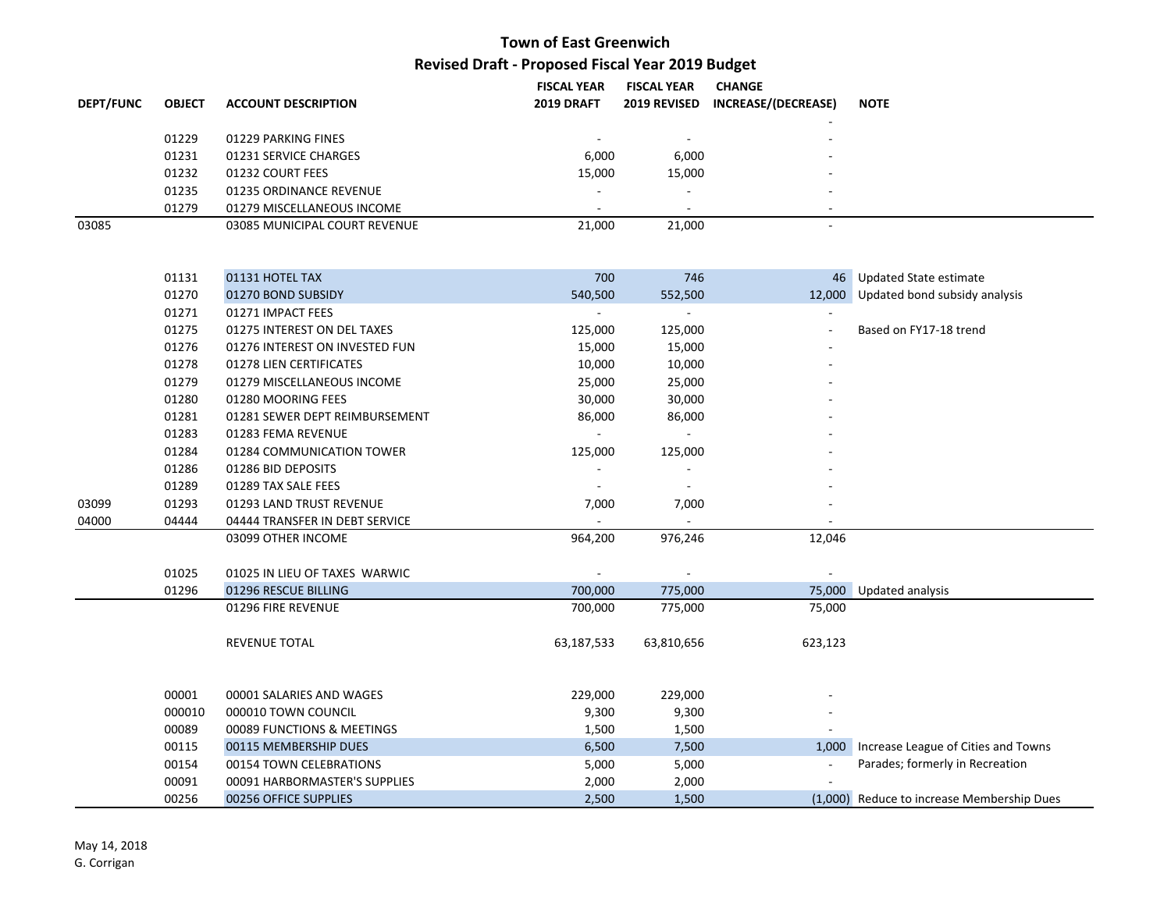|                  |               |                               | <b>FISCAL YEAR</b>       | <b>FISCAL YEAR</b>  | <b>CHANGE</b>       |             |
|------------------|---------------|-------------------------------|--------------------------|---------------------|---------------------|-------------|
| <b>DEPT/FUNC</b> | <b>OBJECT</b> | <b>ACCOUNT DESCRIPTION</b>    | <b>2019 DRAFT</b>        | <b>2019 REVISED</b> | INCREASE/(DECREASE) | <b>NOTE</b> |
|                  |               |                               |                          |                     |                     |             |
|                  | 01229         | 01229 PARKING FINES           | $\overline{\phantom{a}}$ |                     | -                   |             |
|                  | 01231         | 01231 SERVICE CHARGES         | 6,000                    | 6,000               |                     |             |
|                  | 01232         | 01232 COURT FEES              | 15,000                   | 15,000              | -                   |             |
|                  | 01235         | 01235 ORDINANCE REVENUE       | $\overline{\phantom{a}}$ |                     | -                   |             |
|                  | 01279         | 01279 MISCELLANEOUS INCOME    | $\overline{\phantom{a}}$ |                     | -                   |             |
| 03085            |               | 03085 MUNICIPAL COURT REVENUE | 21,000                   | 21,000              | -                   |             |
|                  |               |                               |                          |                     |                     |             |

|       | 01131  | 01131 HOTEL TAX                | 700        | 746                      |                          | 46 Updated State estimate                  |
|-------|--------|--------------------------------|------------|--------------------------|--------------------------|--------------------------------------------|
|       | 01270  | 01270 BOND SUBSIDY             | 540,500    | 552,500                  |                          | 12,000 Updated bond subsidy analysis       |
|       | 01271  | 01271 IMPACT FEES              |            |                          |                          |                                            |
|       | 01275  | 01275 INTEREST ON DEL TAXES    | 125,000    | 125,000                  |                          | Based on FY17-18 trend                     |
|       | 01276  | 01276 INTEREST ON INVESTED FUN | 15,000     | 15,000                   |                          |                                            |
|       | 01278  | 01278 LIEN CERTIFICATES        | 10,000     | 10,000                   |                          |                                            |
|       | 01279  | 01279 MISCELLANEOUS INCOME     | 25,000     | 25,000                   |                          |                                            |
|       | 01280  | 01280 MOORING FEES             | 30,000     | 30,000                   |                          |                                            |
|       | 01281  | 01281 SEWER DEPT REIMBURSEMENT | 86,000     | 86,000                   |                          |                                            |
|       | 01283  | 01283 FEMA REVENUE             |            |                          |                          |                                            |
|       | 01284  | 01284 COMMUNICATION TOWER      | 125,000    | 125,000                  |                          |                                            |
|       | 01286  | 01286 BID DEPOSITS             |            |                          |                          |                                            |
|       | 01289  | 01289 TAX SALE FEES            |            |                          |                          |                                            |
| 03099 | 01293  | 01293 LAND TRUST REVENUE       | 7,000      | 7,000                    |                          |                                            |
| 04000 | 04444  | 04444 TRANSFER IN DEBT SERVICE |            |                          |                          |                                            |
|       |        | 03099 OTHER INCOME             | 964,200    | 976,246                  | 12,046                   |                                            |
|       |        |                                |            |                          |                          |                                            |
|       | 01025  | 01025 IN LIEU OF TAXES WARWIC  |            | $\overline{\phantom{a}}$ |                          |                                            |
|       | 01296  | 01296 RESCUE BILLING           | 700,000    | 775,000                  |                          | 75,000 Updated analysis                    |
|       |        | 01296 FIRE REVENUE             | 700,000    | 775,000                  | 75,000                   |                                            |
|       |        | <b>REVENUE TOTAL</b>           | 63,187,533 | 63,810,656               | 623,123                  |                                            |
|       |        |                                |            |                          |                          |                                            |
|       | 00001  | 00001 SALARIES AND WAGES       | 229,000    | 229,000                  |                          |                                            |
|       | 000010 | 000010 TOWN COUNCIL            | 9,300      | 9,300                    |                          |                                            |
|       | 00089  | 00089 FUNCTIONS & MEETINGS     | 1,500      | 1,500                    |                          |                                            |
|       | 00115  | 00115 MEMBERSHIP DUES          | 6,500      | 7,500                    |                          | 1,000 Increase League of Cities and Towns  |
|       | 00154  | 00154 TOWN CELEBRATIONS        | 5,000      | 5,000                    | $\overline{\phantom{a}}$ | Parades; formerly in Recreation            |
|       | 00091  | 00091 HARBORMASTER'S SUPPLIES  | 2,000      | 2,000                    |                          |                                            |
|       | 00256  | 00256 OFFICE SUPPLIES          | 2,500      | 1,500                    |                          | (1,000) Reduce to increase Membership Dues |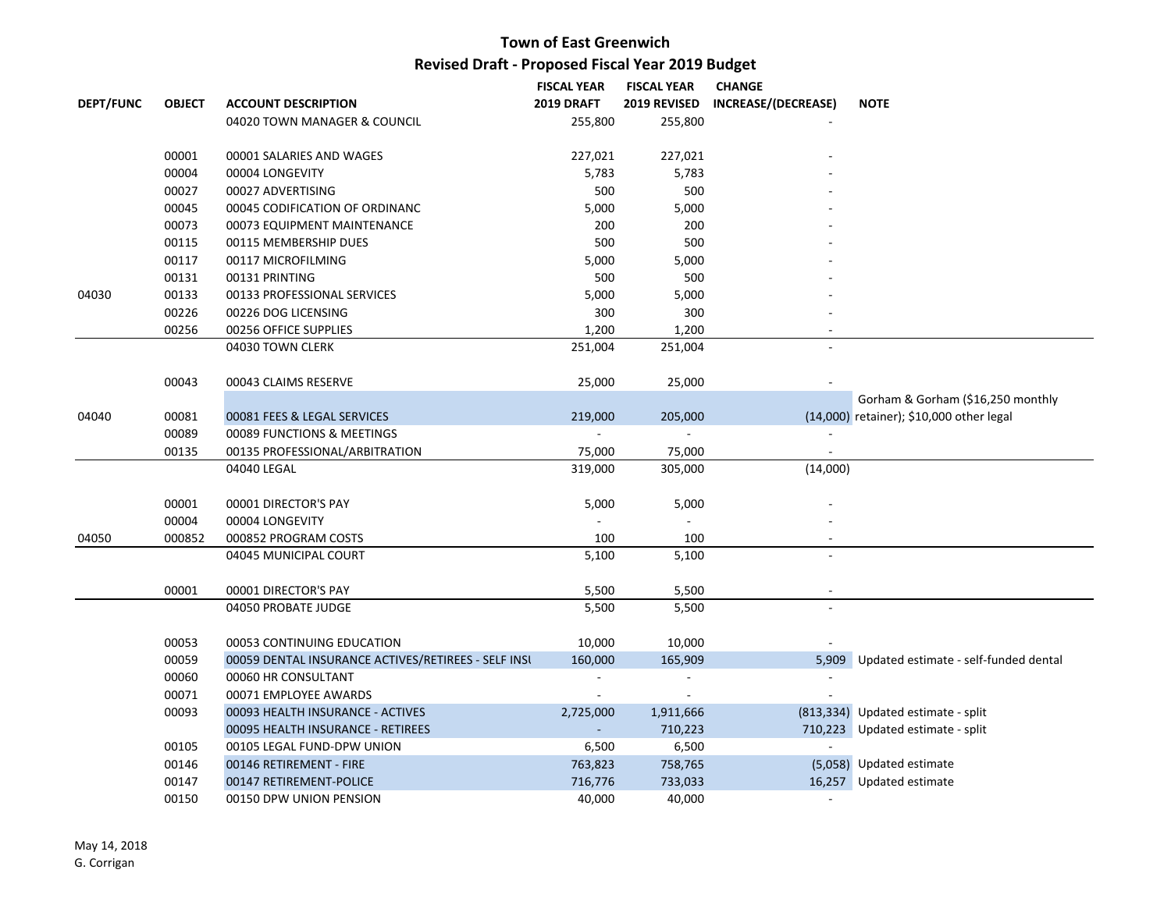|                  |               |                                                     | <b>FISCAL YEAR</b>       | <b>FISCAL YEAR</b>       | <b>CHANGE</b>       |                                          |
|------------------|---------------|-----------------------------------------------------|--------------------------|--------------------------|---------------------|------------------------------------------|
| <b>DEPT/FUNC</b> | <b>OBJECT</b> | <b>ACCOUNT DESCRIPTION</b>                          | <b>2019 DRAFT</b>        | 2019 REVISED             | INCREASE/(DECREASE) | <b>NOTE</b>                              |
|                  |               | 04020 TOWN MANAGER & COUNCIL                        | 255,800                  | 255,800                  |                     |                                          |
|                  | 00001         | 00001 SALARIES AND WAGES                            | 227,021                  | 227,021                  |                     |                                          |
|                  | 00004         | 00004 LONGEVITY                                     | 5,783                    | 5,783                    |                     |                                          |
|                  | 00027         | 00027 ADVERTISING                                   | 500                      | 500                      |                     |                                          |
|                  | 00045         | 00045 CODIFICATION OF ORDINANC                      | 5,000                    | 5,000                    |                     |                                          |
|                  | 00073         | 00073 EQUIPMENT MAINTENANCE                         | 200                      | 200                      |                     |                                          |
|                  | 00115         | 00115 MEMBERSHIP DUES                               | 500                      | 500                      |                     |                                          |
|                  | 00117         | 00117 MICROFILMING                                  | 5,000                    | 5,000                    |                     |                                          |
|                  | 00131         | 00131 PRINTING                                      | 500                      | 500                      |                     |                                          |
| 04030            | 00133         | 00133 PROFESSIONAL SERVICES                         | 5,000                    | 5,000                    |                     |                                          |
|                  | 00226         | 00226 DOG LICENSING                                 | 300                      | 300                      |                     |                                          |
|                  | 00256         | 00256 OFFICE SUPPLIES                               | 1,200                    | 1,200                    |                     |                                          |
|                  |               | 04030 TOWN CLERK                                    | 251,004                  | 251,004                  |                     |                                          |
|                  | 00043         | 00043 CLAIMS RESERVE                                | 25,000                   | 25,000                   |                     |                                          |
|                  |               |                                                     |                          |                          |                     | Gorham & Gorham (\$16,250 monthly        |
| 04040            | 00081         | 00081 FEES & LEGAL SERVICES                         | 219,000                  | 205,000                  |                     | (14,000) retainer); \$10,000 other legal |
|                  | 00089         | 00089 FUNCTIONS & MEETINGS                          |                          | $\overline{a}$           | $\sim$              |                                          |
|                  | 00135         | 00135 PROFESSIONAL/ARBITRATION                      | 75,000                   | 75,000                   |                     |                                          |
|                  |               | 04040 LEGAL                                         | 319,000                  | 305,000                  | (14,000)            |                                          |
|                  | 00001         | 00001 DIRECTOR'S PAY                                | 5,000                    | 5,000                    |                     |                                          |
|                  | 00004         | 00004 LONGEVITY                                     |                          |                          |                     |                                          |
| 04050            | 000852        | 000852 PROGRAM COSTS                                | 100                      | 100                      |                     |                                          |
|                  |               | 04045 MUNICIPAL COURT                               | 5,100                    | 5,100                    |                     |                                          |
|                  | 00001         | 00001 DIRECTOR'S PAY                                | 5,500                    | 5,500                    | $\sim$              |                                          |
|                  |               | 04050 PROBATE JUDGE                                 | 5,500                    | 5,500                    | $\sim$              |                                          |
|                  | 00053         | 00053 CONTINUING EDUCATION                          | 10,000                   | 10,000                   |                     |                                          |
|                  | 00059         | 00059 DENTAL INSURANCE ACTIVES/RETIREES - SELF INSU | 160,000                  | 165,909                  | 5,909               | Updated estimate - self-funded dental    |
|                  | 00060         | 00060 HR CONSULTANT                                 | $\overline{\phantom{a}}$ | $\overline{\phantom{a}}$ | $\sim$              |                                          |
|                  | 00071         | 00071 EMPLOYEE AWARDS                               |                          |                          |                     |                                          |
|                  | 00093         | 00093 HEALTH INSURANCE - ACTIVES                    | 2,725,000                | 1,911,666                |                     | (813,334) Updated estimate - split       |
|                  |               | 00095 HEALTH INSURANCE - RETIREES                   |                          | 710,223                  |                     | 710,223 Updated estimate - split         |
|                  | 00105         | 00105 LEGAL FUND-DPW UNION                          | 6,500                    | 6,500                    |                     |                                          |
|                  | 00146         | 00146 RETIREMENT - FIRE                             | 763,823                  | 758,765                  |                     | (5,058) Updated estimate                 |
|                  | 00147         | 00147 RETIREMENT-POLICE                             | 716,776                  | 733,033                  |                     | 16,257 Updated estimate                  |
|                  | 00150         | 00150 DPW UNION PENSION                             | 40,000                   | 40,000                   | $\sim$              |                                          |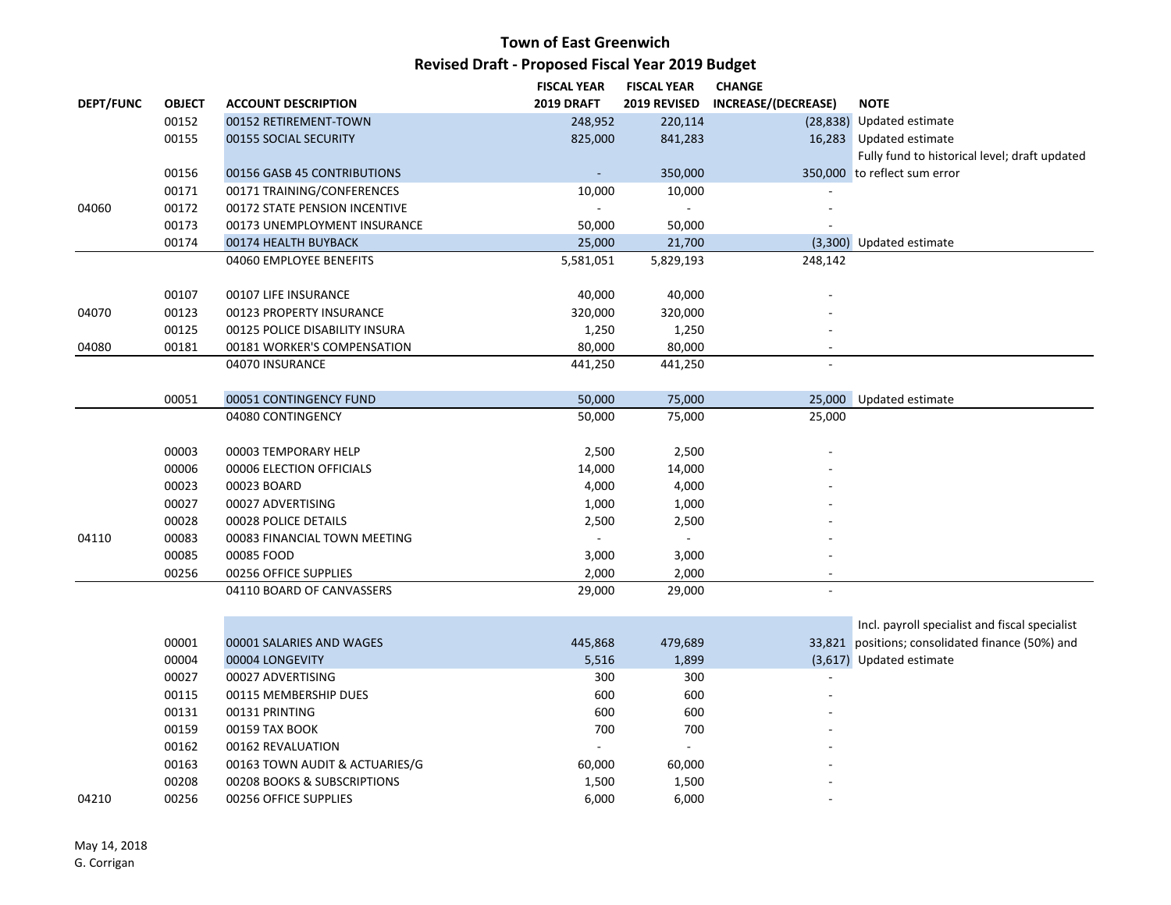|                  |               |                                | <b>FISCAL YEAR</b> | <b>FISCAL YEAR</b> | <b>CHANGE</b>       |                                                  |
|------------------|---------------|--------------------------------|--------------------|--------------------|---------------------|--------------------------------------------------|
| <b>DEPT/FUNC</b> | <b>OBJECT</b> | <b>ACCOUNT DESCRIPTION</b>     | 2019 DRAFT         | 2019 REVISED       | INCREASE/(DECREASE) | <b>NOTE</b>                                      |
|                  | 00152         | 00152 RETIREMENT-TOWN          | 248,952            | 220,114            |                     | (28,838) Updated estimate                        |
|                  | 00155         | 00155 SOCIAL SECURITY          | 825,000            | 841,283            |                     | 16,283 Updated estimate                          |
|                  |               |                                |                    |                    |                     | Fully fund to historical level; draft updated    |
|                  | 00156         | 00156 GASB 45 CONTRIBUTIONS    |                    | 350,000            |                     | 350,000 to reflect sum error                     |
|                  | 00171         | 00171 TRAINING/CONFERENCES     | 10,000             | 10,000             |                     |                                                  |
| 04060            | 00172         | 00172 STATE PENSION INCENTIVE  | $\sim$             | $\sim$             |                     |                                                  |
|                  | 00173         | 00173 UNEMPLOYMENT INSURANCE   | 50,000             | 50,000             |                     |                                                  |
|                  | 00174         | 00174 HEALTH BUYBACK           | 25,000             | 21,700             |                     | (3,300) Updated estimate                         |
|                  |               | 04060 EMPLOYEE BENEFITS        | 5,581,051          | 5,829,193          | 248,142             |                                                  |
|                  |               |                                |                    |                    |                     |                                                  |
|                  | 00107         | 00107 LIFE INSURANCE           | 40,000             | 40,000             |                     |                                                  |
| 04070            | 00123         | 00123 PROPERTY INSURANCE       | 320,000            | 320,000            |                     |                                                  |
|                  | 00125         | 00125 POLICE DISABILITY INSURA | 1,250              | 1,250              |                     |                                                  |
| 04080            | 00181         | 00181 WORKER'S COMPENSATION    | 80,000             | 80,000             |                     |                                                  |
|                  |               | 04070 INSURANCE                | 441,250            | 441,250            | ÷.                  |                                                  |
|                  |               |                                |                    |                    |                     |                                                  |
|                  | 00051         | 00051 CONTINGENCY FUND         | 50,000             | 75,000             | 25,000              | Updated estimate                                 |
|                  |               | 04080 CONTINGENCY              | 50,000             | 75,000             | 25,000              |                                                  |
|                  |               |                                |                    |                    |                     |                                                  |
|                  | 00003         | 00003 TEMPORARY HELP           | 2,500              | 2,500              |                     |                                                  |
|                  | 00006         | 00006 ELECTION OFFICIALS       | 14,000             | 14,000             |                     |                                                  |
|                  | 00023         | 00023 BOARD                    | 4,000              | 4,000              |                     |                                                  |
|                  | 00027         | 00027 ADVERTISING              | 1,000              | 1,000              |                     |                                                  |
|                  | 00028         | 00028 POLICE DETAILS           | 2,500              | 2,500              |                     |                                                  |
| 04110            | 00083         | 00083 FINANCIAL TOWN MEETING   |                    | $\sim$             |                     |                                                  |
|                  | 00085         | 00085 FOOD                     | 3,000              | 3,000              |                     |                                                  |
|                  | 00256         | 00256 OFFICE SUPPLIES          | 2,000              | 2,000              |                     |                                                  |
|                  |               | 04110 BOARD OF CANVASSERS      | 29,000             | 29,000             | ÷.                  |                                                  |
|                  |               |                                |                    |                    |                     |                                                  |
|                  |               |                                |                    |                    |                     | Incl. payroll specialist and fiscal specialist   |
|                  | 00001         | 00001 SALARIES AND WAGES       | 445,868            | 479,689            |                     | 33,821 positions; consolidated finance (50%) and |
|                  | 00004         | 00004 LONGEVITY                | 5,516              | 1,899              |                     | (3,617) Updated estimate                         |
|                  | 00027         | 00027 ADVERTISING              | 300                | 300                |                     |                                                  |
|                  | 00115         | 00115 MEMBERSHIP DUES          | 600                | 600                |                     |                                                  |
|                  | 00131         | 00131 PRINTING                 | 600                | 600                |                     |                                                  |
|                  | 00159         | 00159 TAX BOOK                 | 700                | 700                |                     |                                                  |
|                  | 00162         | 00162 REVALUATION              |                    |                    |                     |                                                  |
|                  | 00163         | 00163 TOWN AUDIT & ACTUARIES/G | 60,000             | 60,000             |                     |                                                  |
|                  | 00208         | 00208 BOOKS & SUBSCRIPTIONS    | 1,500              | 1,500              |                     |                                                  |
| 04210            | 00256         | 00256 OFFICE SUPPLIES          | 6,000              | 6,000              |                     |                                                  |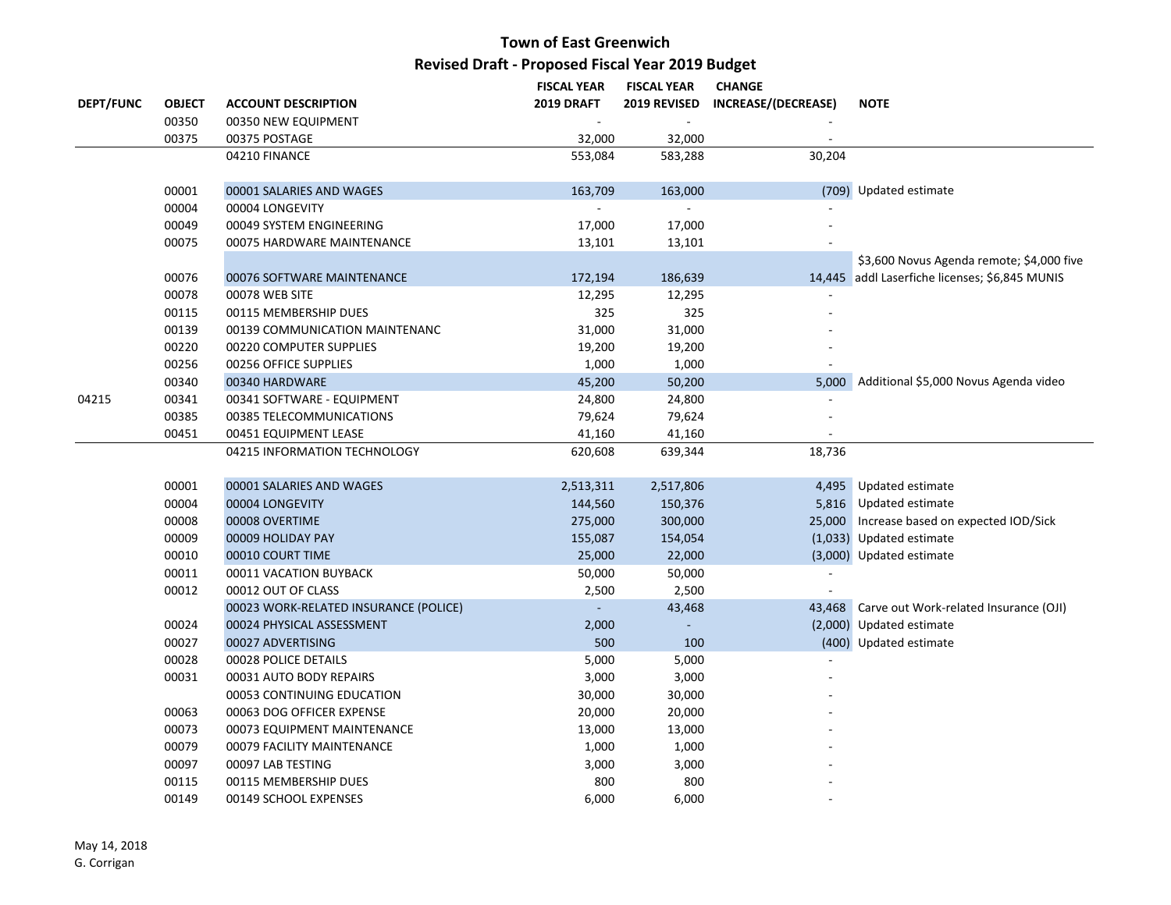|                  |               |                                       | <b>FISCAL YEAR</b> | <b>FISCAL YEAR</b> | <b>CHANGE</b>       |                                                |
|------------------|---------------|---------------------------------------|--------------------|--------------------|---------------------|------------------------------------------------|
| <b>DEPT/FUNC</b> | <b>OBJECT</b> | <b>ACCOUNT DESCRIPTION</b>            | <b>2019 DRAFT</b>  | 2019 REVISED       | INCREASE/(DECREASE) | <b>NOTE</b>                                    |
|                  | 00350         | 00350 NEW EQUIPMENT                   |                    |                    |                     |                                                |
|                  | 00375         | 00375 POSTAGE                         | 32,000             | 32,000             |                     |                                                |
|                  |               | 04210 FINANCE                         | 553,084            | 583,288            | 30,204              |                                                |
|                  |               |                                       |                    |                    |                     |                                                |
|                  | 00001         | 00001 SALARIES AND WAGES              | 163,709            | 163,000            |                     | (709) Updated estimate                         |
|                  | 00004         | 00004 LONGEVITY                       |                    |                    |                     |                                                |
|                  | 00049         | 00049 SYSTEM ENGINEERING              | 17,000             | 17,000             |                     |                                                |
|                  | 00075         | 00075 HARDWARE MAINTENANCE            | 13,101             | 13,101             |                     |                                                |
|                  |               |                                       |                    |                    |                     | \$3,600 Novus Agenda remote; \$4,000 five      |
|                  | 00076         | 00076 SOFTWARE MAINTENANCE            | 172,194            | 186,639            |                     | 14,445 addl Laserfiche licenses; \$6,845 MUNIS |
|                  | 00078         | 00078 WEB SITE                        | 12,295             | 12,295             |                     |                                                |
|                  | 00115         | 00115 MEMBERSHIP DUES                 | 325                | 325                |                     |                                                |
|                  | 00139         | 00139 COMMUNICATION MAINTENANC        | 31,000             | 31,000             |                     |                                                |
|                  | 00220         | 00220 COMPUTER SUPPLIES               | 19,200             | 19,200             |                     |                                                |
|                  | 00256         | 00256 OFFICE SUPPLIES                 | 1,000              | 1,000              |                     |                                                |
|                  | 00340         | 00340 HARDWARE                        | 45,200             | 50,200             |                     | 5,000 Additional \$5,000 Novus Agenda video    |
| 04215            | 00341         | 00341 SOFTWARE - EQUIPMENT            | 24,800             | 24,800             |                     |                                                |
|                  | 00385         | 00385 TELECOMMUNICATIONS              | 79,624             | 79,624             |                     |                                                |
|                  | 00451         | 00451 EQUIPMENT LEASE                 | 41,160             | 41,160             |                     |                                                |
|                  |               | 04215 INFORMATION TECHNOLOGY          | 620,608            | 639,344            | 18,736              |                                                |
|                  |               |                                       |                    |                    |                     |                                                |
|                  | 00001         | 00001 SALARIES AND WAGES              | 2,513,311          | 2,517,806          |                     | 4,495 Updated estimate                         |
|                  | 00004         | 00004 LONGEVITY                       | 144,560            | 150,376            |                     | 5,816 Updated estimate                         |
|                  | 00008         | 00008 OVERTIME                        | 275,000            | 300,000            |                     | 25,000 Increase based on expected IOD/Sick     |
|                  | 00009         | 00009 HOLIDAY PAY                     | 155,087            | 154,054            |                     | (1,033) Updated estimate                       |
|                  | 00010         | 00010 COURT TIME                      | 25,000             | 22,000             |                     | (3,000) Updated estimate                       |
|                  | 00011         | 00011 VACATION BUYBACK                | 50,000             | 50,000             |                     |                                                |
|                  | 00012         | 00012 OUT OF CLASS                    | 2,500              | 2,500              |                     |                                                |
|                  |               | 00023 WORK-RELATED INSURANCE (POLICE) | $\blacksquare$     | 43,468             |                     | 43,468 Carve out Work-related Insurance (OJI)  |
|                  | 00024         | 00024 PHYSICAL ASSESSMENT             | 2,000              |                    |                     | (2,000) Updated estimate                       |
|                  | 00027         | 00027 ADVERTISING                     | 500                | 100                |                     | (400) Updated estimate                         |
|                  | 00028         | 00028 POLICE DETAILS                  | 5,000              | 5,000              |                     |                                                |
|                  | 00031         | 00031 AUTO BODY REPAIRS               | 3,000              | 3,000              |                     |                                                |
|                  |               | 00053 CONTINUING EDUCATION            | 30,000             | 30,000             |                     |                                                |
|                  | 00063         | 00063 DOG OFFICER EXPENSE             | 20,000             | 20,000             |                     |                                                |
|                  | 00073         | 00073 EQUIPMENT MAINTENANCE           | 13,000             | 13,000             |                     |                                                |
|                  | 00079         | 00079 FACILITY MAINTENANCE            | 1,000              | 1,000              |                     |                                                |
|                  | 00097         | 00097 LAB TESTING                     | 3,000              | 3,000              |                     |                                                |
|                  | 00115         | 00115 MEMBERSHIP DUES                 | 800                | 800                |                     |                                                |
|                  | 00149         | 00149 SCHOOL EXPENSES                 | 6,000              | 6,000              |                     |                                                |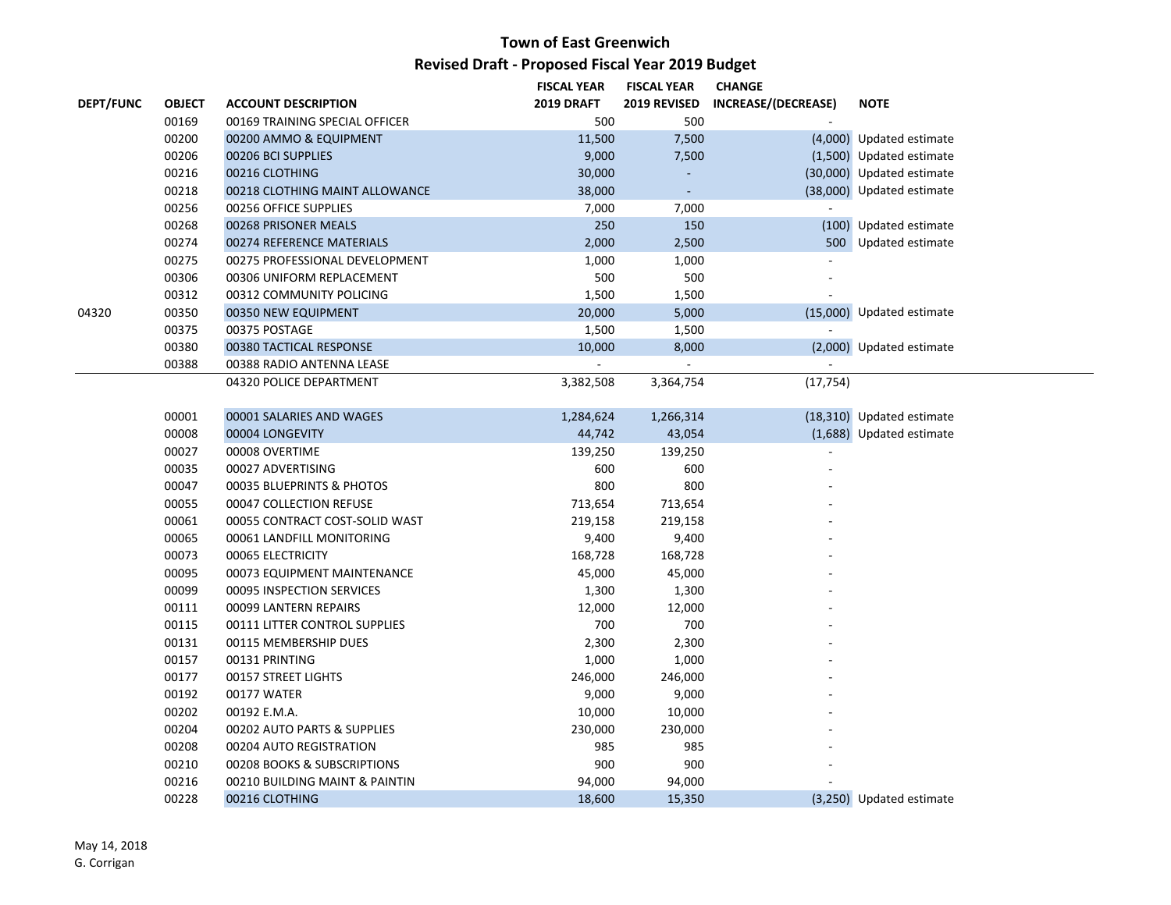|                  |               |                                | <b>FISCAL YEAR</b> | <b>FISCAL YEAR</b> | <b>CHANGE</b>       |                           |
|------------------|---------------|--------------------------------|--------------------|--------------------|---------------------|---------------------------|
| <b>DEPT/FUNC</b> | <b>OBJECT</b> | <b>ACCOUNT DESCRIPTION</b>     | 2019 DRAFT         | 2019 REVISED       | INCREASE/(DECREASE) | <b>NOTE</b>               |
|                  | 00169         | 00169 TRAINING SPECIAL OFFICER | 500                | 500                |                     |                           |
|                  | 00200         | 00200 AMMO & EQUIPMENT         | 11,500             | 7,500              |                     | (4,000) Updated estimate  |
|                  | 00206         | 00206 BCI SUPPLIES             | 9,000              | 7,500              |                     | (1,500) Updated estimate  |
|                  | 00216         | 00216 CLOTHING                 | 30,000             |                    |                     | (30,000) Updated estimate |
|                  | 00218         | 00218 CLOTHING MAINT ALLOWANCE | 38,000             | $\omega$           |                     | (38,000) Updated estimate |
|                  | 00256         | 00256 OFFICE SUPPLIES          | 7,000              | 7,000              | $\sim$              |                           |
|                  | 00268         | 00268 PRISONER MEALS           | 250                | 150                |                     | (100) Updated estimate    |
|                  | 00274         | 00274 REFERENCE MATERIALS      | 2,000              | 2,500              |                     | 500 Updated estimate      |
|                  | 00275         | 00275 PROFESSIONAL DEVELOPMENT | 1,000              | 1,000              |                     |                           |
|                  | 00306         | 00306 UNIFORM REPLACEMENT      | 500                | 500                |                     |                           |
|                  | 00312         | 00312 COMMUNITY POLICING       | 1,500              | 1,500              |                     |                           |
| 04320            | 00350         | 00350 NEW EQUIPMENT            | 20,000             | 5,000              |                     | (15,000) Updated estimate |
|                  | 00375         | 00375 POSTAGE                  | 1,500              | 1,500              |                     |                           |
|                  | 00380         | 00380 TACTICAL RESPONSE        | 10,000             | 8,000              |                     | (2,000) Updated estimate  |
|                  | 00388         | 00388 RADIO ANTENNA LEASE      | $\sim$             | $\sim$             | ÷.                  |                           |
|                  |               | 04320 POLICE DEPARTMENT        | 3,382,508          | 3,364,754          | (17, 754)           |                           |
|                  |               |                                |                    |                    |                     |                           |
|                  | 00001         | 00001 SALARIES AND WAGES       | 1,284,624          | 1,266,314          |                     | (18,310) Updated estimate |
|                  | 00008         | 00004 LONGEVITY                | 44,742             | 43,054             |                     | (1,688) Updated estimate  |
|                  | 00027         | 00008 OVERTIME                 | 139,250            | 139,250            |                     |                           |
|                  | 00035         | 00027 ADVERTISING              | 600                | 600                |                     |                           |
|                  | 00047         | 00035 BLUEPRINTS & PHOTOS      | 800                | 800                |                     |                           |
|                  | 00055         | 00047 COLLECTION REFUSE        | 713,654            | 713,654            |                     |                           |
|                  | 00061         | 00055 CONTRACT COST-SOLID WAST | 219,158            | 219,158            |                     |                           |
|                  | 00065         | 00061 LANDFILL MONITORING      | 9,400              | 9,400              |                     |                           |
|                  | 00073         | 00065 ELECTRICITY              | 168,728            | 168,728            |                     |                           |
|                  | 00095         | 00073 EQUIPMENT MAINTENANCE    | 45,000             | 45,000             |                     |                           |
|                  | 00099         | 00095 INSPECTION SERVICES      | 1,300              | 1,300              |                     |                           |
|                  | 00111         | 00099 LANTERN REPAIRS          | 12,000             | 12,000             |                     |                           |
|                  | 00115         | 00111 LITTER CONTROL SUPPLIES  | 700                | 700                |                     |                           |
|                  | 00131         | 00115 MEMBERSHIP DUES          | 2,300              | 2,300              |                     |                           |
|                  | 00157         | 00131 PRINTING                 | 1,000              | 1,000              |                     |                           |
|                  | 00177         | 00157 STREET LIGHTS            | 246,000            | 246,000            |                     |                           |
|                  | 00192         | 00177 WATER                    | 9,000              | 9,000              |                     |                           |
|                  | 00202         | 00192 E.M.A.                   | 10,000             | 10,000             |                     |                           |
|                  | 00204         | 00202 AUTO PARTS & SUPPLIES    | 230,000            | 230,000            |                     |                           |
|                  | 00208         | 00204 AUTO REGISTRATION        | 985                | 985                |                     |                           |
|                  | 00210         | 00208 BOOKS & SUBSCRIPTIONS    | 900                | 900                |                     |                           |
|                  | 00216         | 00210 BUILDING MAINT & PAINTIN | 94,000             | 94,000             |                     |                           |
|                  | 00228         | 00216 CLOTHING                 | 18,600             | 15,350             |                     | (3,250) Updated estimate  |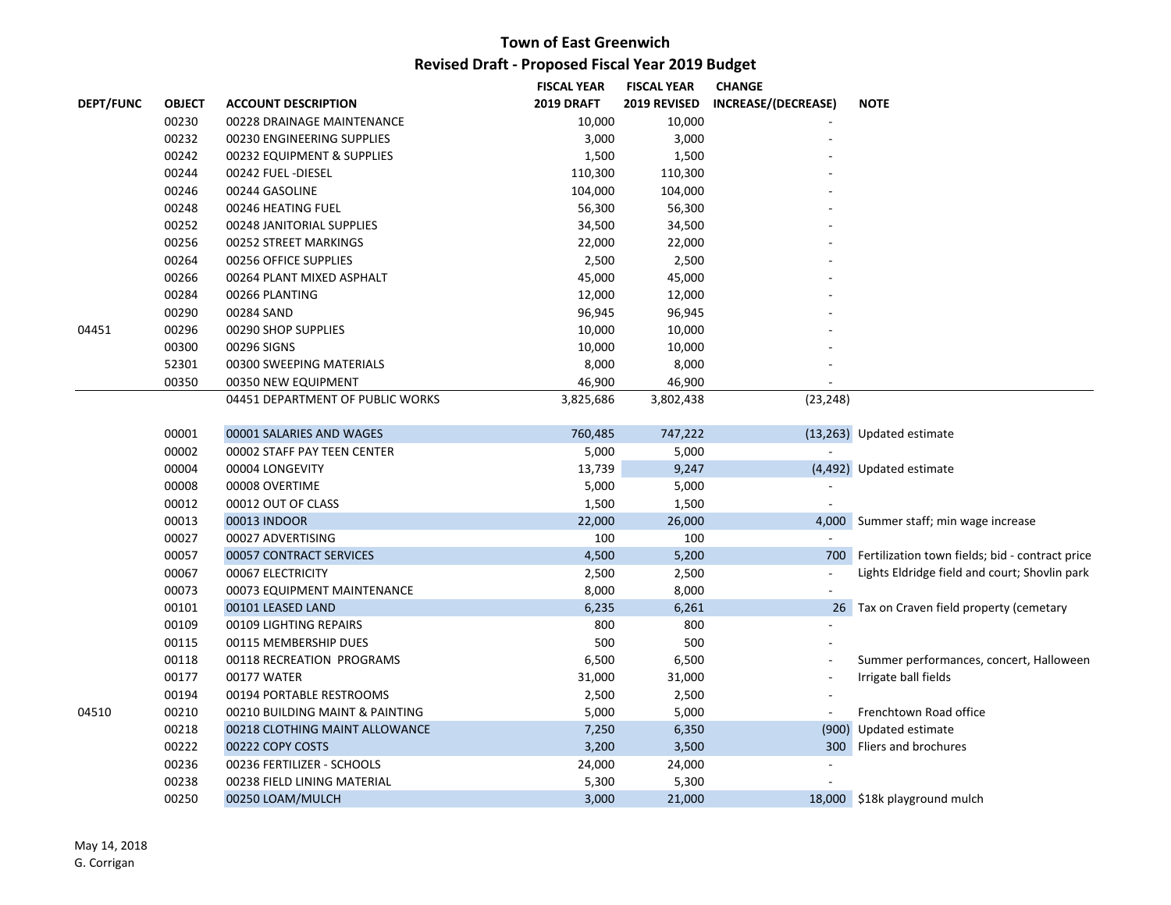|                  |               |                                  | <b>FISCAL YEAR</b> | <b>FISCAL YEAR</b> | <b>CHANGE</b>       |                                                     |
|------------------|---------------|----------------------------------|--------------------|--------------------|---------------------|-----------------------------------------------------|
| <b>DEPT/FUNC</b> | <b>OBJECT</b> | <b>ACCOUNT DESCRIPTION</b>       | <b>2019 DRAFT</b>  | 2019 REVISED       | INCREASE/(DECREASE) | <b>NOTE</b>                                         |
|                  | 00230         | 00228 DRAINAGE MAINTENANCE       | 10,000             | 10,000             |                     |                                                     |
|                  | 00232         | 00230 ENGINEERING SUPPLIES       | 3,000              | 3,000              |                     |                                                     |
|                  | 00242         | 00232 EQUIPMENT & SUPPLIES       | 1,500              | 1,500              |                     |                                                     |
|                  | 00244         | 00242 FUEL-DIESEL                | 110,300            | 110,300            |                     |                                                     |
|                  | 00246         | 00244 GASOLINE                   | 104,000            | 104,000            |                     |                                                     |
|                  | 00248         | 00246 HEATING FUEL               | 56,300             | 56,300             |                     |                                                     |
|                  | 00252         | 00248 JANITORIAL SUPPLIES        | 34,500             | 34,500             |                     |                                                     |
|                  | 00256         | 00252 STREET MARKINGS            | 22,000             | 22,000             |                     |                                                     |
|                  | 00264         | 00256 OFFICE SUPPLIES            | 2,500              | 2,500              |                     |                                                     |
|                  | 00266         | 00264 PLANT MIXED ASPHALT        | 45,000             | 45,000             |                     |                                                     |
|                  | 00284         | 00266 PLANTING                   | 12,000             | 12,000             |                     |                                                     |
|                  | 00290         | 00284 SAND                       | 96,945             | 96,945             |                     |                                                     |
| 04451            | 00296         | 00290 SHOP SUPPLIES              | 10,000             | 10,000             |                     |                                                     |
|                  | 00300         | 00296 SIGNS                      | 10,000             | 10,000             |                     |                                                     |
|                  | 52301         | 00300 SWEEPING MATERIALS         | 8,000              | 8,000              |                     |                                                     |
|                  | 00350         | 00350 NEW EQUIPMENT              | 46,900             | 46,900             |                     |                                                     |
|                  |               | 04451 DEPARTMENT OF PUBLIC WORKS | 3,825,686          | 3,802,438          | (23, 248)           |                                                     |
|                  | 00001         | 00001 SALARIES AND WAGES         | 760,485            | 747,222            |                     | (13,263) Updated estimate                           |
|                  | 00002         | 00002 STAFF PAY TEEN CENTER      | 5,000              | 5,000              |                     |                                                     |
|                  | 00004         | 00004 LONGEVITY                  | 13,739             | 9,247              |                     | (4,492) Updated estimate                            |
|                  | 00008         | 00008 OVERTIME                   | 5,000              | 5,000              |                     |                                                     |
|                  | 00012         | 00012 OUT OF CLASS               | 1,500              | 1,500              |                     |                                                     |
|                  | 00013         | 00013 INDOOR                     | 22,000             | 26,000             |                     | 4,000 Summer staff; min wage increase               |
|                  | 00027         | 00027 ADVERTISING                | 100                | 100                | $\sim$              |                                                     |
|                  | 00057         | 00057 CONTRACT SERVICES          | 4,500              | 5,200              |                     | 700 Fertilization town fields; bid - contract price |
|                  | 00067         | 00067 ELECTRICITY                | 2,500              | 2,500              | $\blacksquare$      | Lights Eldridge field and court; Shovlin park       |
|                  | 00073         | 00073 EQUIPMENT MAINTENANCE      | 8,000              | 8,000              | ä,                  |                                                     |
|                  | 00101         | 00101 LEASED LAND                | 6,235              | 6,261              |                     | 26 Tax on Craven field property (cemetary           |
|                  | 00109         | 00109 LIGHTING REPAIRS           | 800                | 800                | L,                  |                                                     |
|                  | 00115         | 00115 MEMBERSHIP DUES            | 500                | 500                |                     |                                                     |
|                  | 00118         | 00118 RECREATION PROGRAMS        | 6,500              | 6,500              |                     | Summer performances, concert, Halloween             |
|                  | 00177         | 00177 WATER                      | 31,000             | 31,000             | ÷,                  | Irrigate ball fields                                |
|                  | 00194         | 00194 PORTABLE RESTROOMS         | 2,500              | 2,500              |                     |                                                     |
| 04510            | 00210         | 00210 BUILDING MAINT & PAINTING  | 5,000              | 5,000              | $\sim$              | Frenchtown Road office                              |
|                  | 00218         | 00218 CLOTHING MAINT ALLOWANCE   | 7,250              | 6,350              |                     | (900) Updated estimate                              |
|                  | 00222         | 00222 COPY COSTS                 | 3,200              | 3,500              |                     | 300 Fliers and brochures                            |
|                  | 00236         | 00236 FERTILIZER - SCHOOLS       | 24,000             | 24,000             |                     |                                                     |
|                  | 00238         | 00238 FIELD LINING MATERIAL      | 5,300              | 5,300              |                     |                                                     |
|                  | 00250         | 00250 LOAM/MULCH                 | 3,000              | 21,000             |                     | 18,000 \$18k playground mulch                       |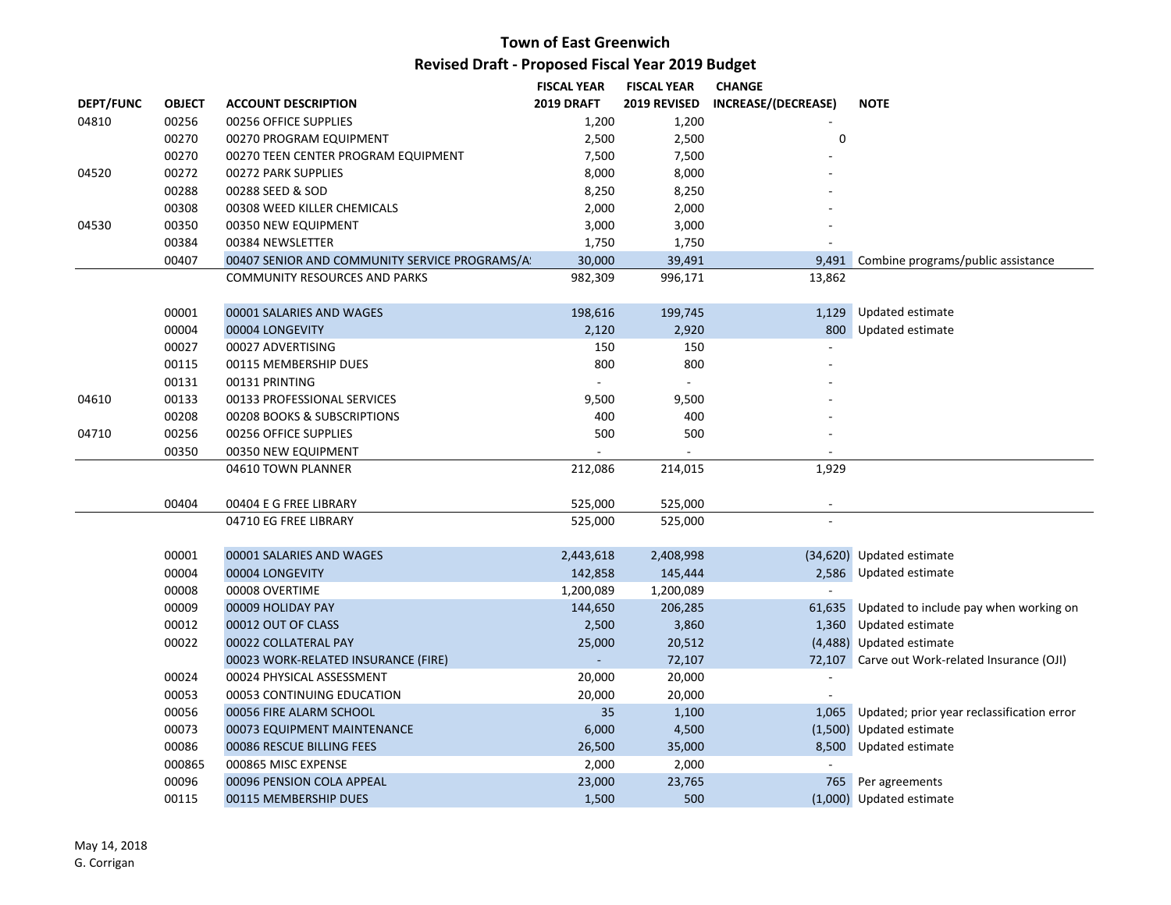|                  |               |                                                | <b>FISCAL YEAR</b> | <b>FISCAL YEAR</b> | <b>CHANGE</b>            |                                                  |
|------------------|---------------|------------------------------------------------|--------------------|--------------------|--------------------------|--------------------------------------------------|
| <b>DEPT/FUNC</b> | <b>OBJECT</b> | <b>ACCOUNT DESCRIPTION</b>                     | 2019 DRAFT         | 2019 REVISED       | INCREASE/(DECREASE)      | <b>NOTE</b>                                      |
| 04810            | 00256         | 00256 OFFICE SUPPLIES                          | 1,200              | 1,200              |                          |                                                  |
|                  | 00270         | 00270 PROGRAM EQUIPMENT                        | 2,500              | 2,500              | 0                        |                                                  |
|                  | 00270         | 00270 TEEN CENTER PROGRAM EQUIPMENT            | 7,500              | 7,500              |                          |                                                  |
| 04520            | 00272         | 00272 PARK SUPPLIES                            | 8,000              | 8,000              |                          |                                                  |
|                  | 00288         | 00288 SEED & SOD                               | 8,250              | 8,250              |                          |                                                  |
|                  | 00308         | 00308 WEED KILLER CHEMICALS                    | 2,000              | 2,000              |                          |                                                  |
| 04530            | 00350         | 00350 NEW EQUIPMENT                            | 3,000              | 3,000              |                          |                                                  |
|                  | 00384         | 00384 NEWSLETTER                               | 1,750              | 1,750              |                          |                                                  |
|                  | 00407         | 00407 SENIOR AND COMMUNITY SERVICE PROGRAMS/A! | 30,000             | 39,491             | 9.491                    | Combine programs/public assistance               |
|                  |               | <b>COMMUNITY RESOURCES AND PARKS</b>           | 982,309            | 996,171            | 13,862                   |                                                  |
|                  | 00001         | 00001 SALARIES AND WAGES                       | 198,616            | 199,745            |                          | 1,129 Updated estimate                           |
|                  | 00004         | 00004 LONGEVITY                                | 2,120              | 2,920              |                          | 800 Updated estimate                             |
|                  | 00027         | 00027 ADVERTISING                              | 150                | 150                |                          |                                                  |
|                  | 00115         | 00115 MEMBERSHIP DUES                          | 800                | 800                |                          |                                                  |
|                  | 00131         | 00131 PRINTING                                 |                    | $\omega$           |                          |                                                  |
| 04610            | 00133         | 00133 PROFESSIONAL SERVICES                    | 9,500              | 9,500              |                          |                                                  |
|                  | 00208         | 00208 BOOKS & SUBSCRIPTIONS                    | 400                | 400                |                          |                                                  |
| 04710            | 00256         | 00256 OFFICE SUPPLIES                          | 500                | 500                |                          |                                                  |
|                  | 00350         | 00350 NEW EQUIPMENT                            |                    |                    |                          |                                                  |
|                  |               | 04610 TOWN PLANNER                             | 212,086            | 214,015            | 1,929                    |                                                  |
|                  | 00404         | 00404 E G FREE LIBRARY                         | 525,000            | 525,000            | $\overline{\phantom{a}}$ |                                                  |
|                  |               | 04710 EG FREE LIBRARY                          | 525,000            | 525,000            |                          |                                                  |
|                  | 00001         | 00001 SALARIES AND WAGES                       | 2,443,618          | 2,408,998          |                          | (34,620) Updated estimate                        |
|                  | 00004         | 00004 LONGEVITY                                | 142,858            | 145,444            |                          | 2,586 Updated estimate                           |
|                  | 00008         | 00008 OVERTIME                                 | 1,200,089          | 1,200,089          | $\blacksquare$           |                                                  |
|                  | 00009         | 00009 HOLIDAY PAY                              | 144,650            | 206,285            |                          | 61,635 Updated to include pay when working on    |
|                  | 00012         | 00012 OUT OF CLASS                             | 2,500              | 3,860              |                          | 1,360 Updated estimate                           |
|                  | 00022         | 00022 COLLATERAL PAY                           | 25,000             | 20,512             |                          | (4,488) Updated estimate                         |
|                  |               | 00023 WORK-RELATED INSURANCE (FIRE)            |                    | 72,107             |                          | 72,107 Carve out Work-related Insurance (OJI)    |
|                  | 00024         | 00024 PHYSICAL ASSESSMENT                      | 20,000             | 20,000             |                          |                                                  |
|                  | 00053         | 00053 CONTINUING EDUCATION                     | 20,000             | 20,000             |                          |                                                  |
|                  | 00056         | 00056 FIRE ALARM SCHOOL                        | 35                 | 1,100              |                          | 1,065 Updated; prior year reclassification error |
|                  | 00073         | 00073 EQUIPMENT MAINTENANCE                    | 6,000              | 4,500              |                          | (1,500) Updated estimate                         |
|                  | 00086         | 00086 RESCUE BILLING FEES                      | 26,500             | 35,000             |                          | 8,500 Updated estimate                           |
|                  | 000865        | 000865 MISC EXPENSE                            | 2,000              | 2,000              |                          |                                                  |
|                  | 00096         | 00096 PENSION COLA APPEAL                      | 23,000             | 23,765             |                          | 765 Per agreements                               |
|                  | 00115         | 00115 MEMBERSHIP DUES                          | 1,500              | 500                |                          | (1,000) Updated estimate                         |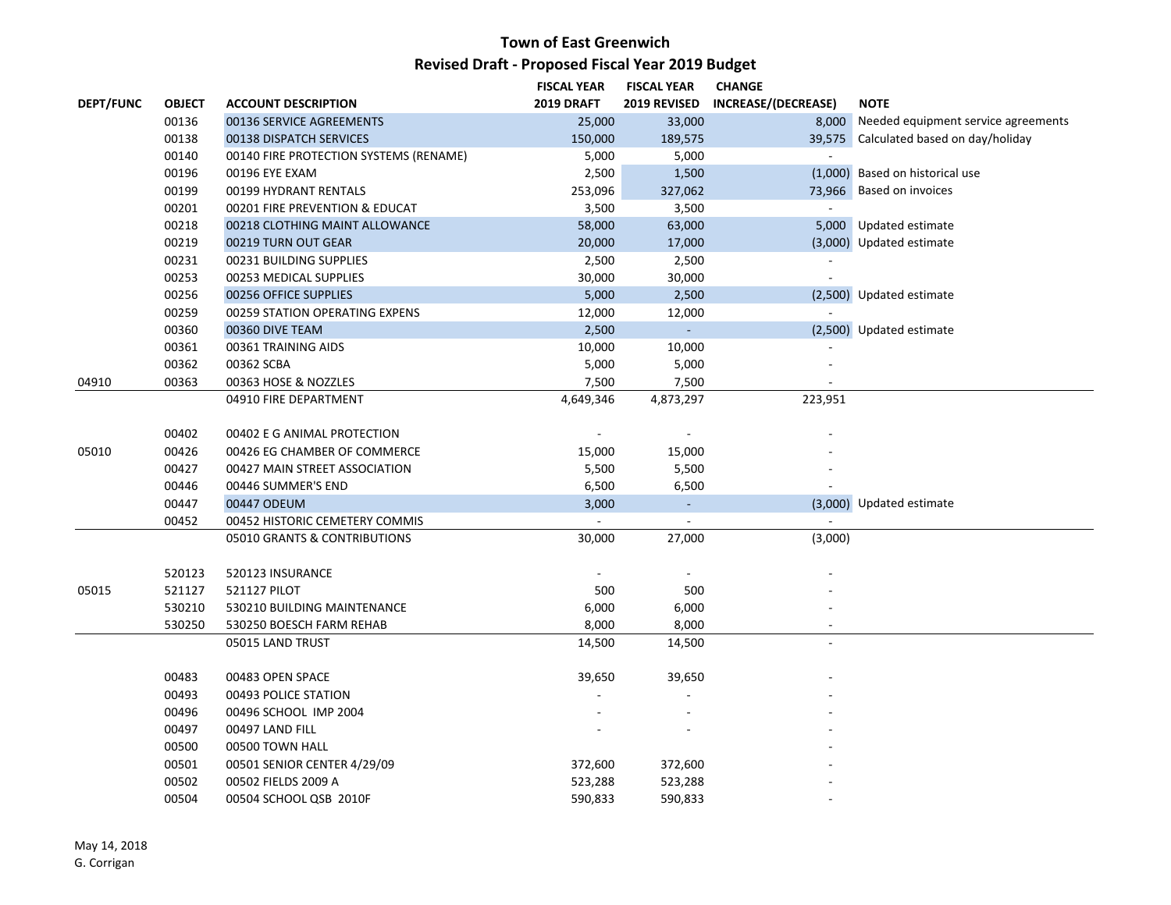|                  |               |                                        | <b>FISCAL YEAR</b> | <b>FISCAL YEAR</b>       | <b>CHANGE</b>              |                                           |
|------------------|---------------|----------------------------------------|--------------------|--------------------------|----------------------------|-------------------------------------------|
| <b>DEPT/FUNC</b> | <b>OBJECT</b> | <b>ACCOUNT DESCRIPTION</b>             | 2019 DRAFT         | 2019 REVISED             | <b>INCREASE/(DECREASE)</b> | <b>NOTE</b>                               |
|                  | 00136         | 00136 SERVICE AGREEMENTS               | 25,000             | 33,000                   |                            | 8,000 Needed equipment service agreements |
|                  | 00138         | 00138 DISPATCH SERVICES                | 150,000            | 189,575                  |                            | 39,575 Calculated based on day/holiday    |
|                  | 00140         | 00140 FIRE PROTECTION SYSTEMS (RENAME) | 5,000              | 5,000                    |                            |                                           |
|                  | 00196         | 00196 EYE EXAM                         | 2,500              | 1,500                    |                            | (1,000) Based on historical use           |
|                  | 00199         | 00199 HYDRANT RENTALS                  | 253,096            | 327,062                  |                            | 73,966 Based on invoices                  |
|                  | 00201         | 00201 FIRE PREVENTION & EDUCAT         | 3,500              | 3,500                    | $\mathcal{L}$              |                                           |
|                  | 00218         | 00218 CLOTHING MAINT ALLOWANCE         | 58,000             | 63,000                   |                            | 5,000 Updated estimate                    |
|                  | 00219         | 00219 TURN OUT GEAR                    | 20,000             | 17,000                   |                            | (3,000) Updated estimate                  |
|                  | 00231         | 00231 BUILDING SUPPLIES                | 2,500              | 2,500                    |                            |                                           |
|                  | 00253         | 00253 MEDICAL SUPPLIES                 | 30,000             | 30,000                   |                            |                                           |
|                  | 00256         | 00256 OFFICE SUPPLIES                  | 5,000              | 2,500                    |                            | (2,500) Updated estimate                  |
|                  | 00259         | 00259 STATION OPERATING EXPENS         | 12,000             | 12,000                   | $\blacksquare$             |                                           |
|                  | 00360         | 00360 DIVE TEAM                        | 2,500              | $\omega_{\rm c}$         |                            | (2,500) Updated estimate                  |
|                  | 00361         | 00361 TRAINING AIDS                    | 10,000             | 10,000                   |                            |                                           |
|                  | 00362         | 00362 SCBA                             | 5,000              | 5,000                    |                            |                                           |
| 04910            | 00363         | 00363 HOSE & NOZZLES                   | 7,500              | 7,500                    |                            |                                           |
|                  |               | 04910 FIRE DEPARTMENT                  | 4,649,346          | 4,873,297                | 223,951                    |                                           |
|                  |               |                                        |                    |                          |                            |                                           |
|                  | 00402         | 00402 E G ANIMAL PROTECTION            |                    | $\overline{\phantom{a}}$ |                            |                                           |
| 05010            | 00426         | 00426 EG CHAMBER OF COMMERCE           | 15,000             | 15,000                   |                            |                                           |
|                  | 00427         | 00427 MAIN STREET ASSOCIATION          | 5,500              | 5,500                    |                            |                                           |
|                  | 00446         | 00446 SUMMER'S END                     | 6,500              | 6,500                    |                            |                                           |
|                  | 00447         | 00447 ODEUM                            | 3,000              | ÷.                       |                            | (3,000) Updated estimate                  |
|                  | 00452         | 00452 HISTORIC CEMETERY COMMIS         | $\blacksquare$     | $\blacksquare$           |                            |                                           |
|                  |               | 05010 GRANTS & CONTRIBUTIONS           | 30,000             | 27,000                   | (3,000)                    |                                           |
|                  | 520123        | 520123 INSURANCE                       |                    | $\overline{\phantom{a}}$ |                            |                                           |
| 05015            | 521127        | 521127 PILOT                           | 500                | 500                      |                            |                                           |
|                  | 530210        | 530210 BUILDING MAINTENANCE            | 6,000              | 6,000                    |                            |                                           |
|                  | 530250        | 530250 BOESCH FARM REHAB               | 8,000              | 8,000                    |                            |                                           |
|                  |               | 05015 LAND TRUST                       | 14,500             | 14,500                   |                            |                                           |
|                  |               |                                        |                    |                          |                            |                                           |
|                  | 00483         | 00483 OPEN SPACE                       | 39,650             | 39,650                   |                            |                                           |
|                  | 00493         | 00493 POLICE STATION                   |                    |                          |                            |                                           |
|                  | 00496         | 00496 SCHOOL IMP 2004                  |                    |                          |                            |                                           |
|                  | 00497         | 00497 LAND FILL                        |                    |                          |                            |                                           |
|                  | 00500         | 00500 TOWN HALL                        |                    |                          |                            |                                           |
|                  | 00501         | 00501 SENIOR CENTER 4/29/09            | 372,600            | 372,600                  |                            |                                           |
|                  | 00502         | 00502 FIELDS 2009 A                    | 523,288            | 523,288                  |                            |                                           |
|                  | 00504         | 00504 SCHOOL QSB 2010F                 | 590,833            | 590,833                  |                            |                                           |